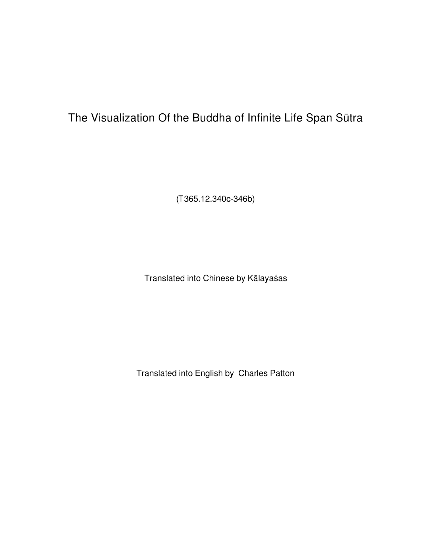# The Visualization Of the Buddha of Infinite Life Span Sūtra

(*T*365.12.340c-346b)

Translated into Chinese by Kālayaśas

Translated into English by Charles Patton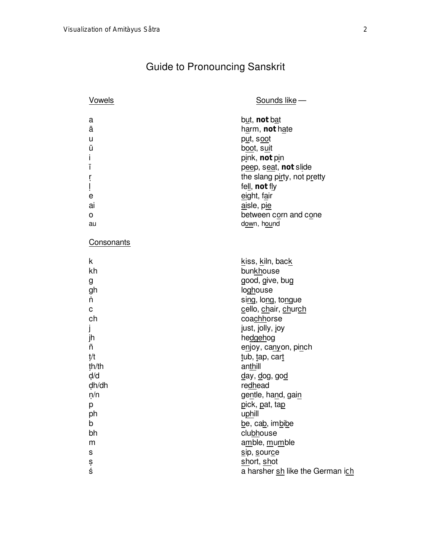# Guide to Pronouncing Sanskrit

| Vowels                                                                | Sounds like -                                                                                                                                                                                                            |
|-----------------------------------------------------------------------|--------------------------------------------------------------------------------------------------------------------------------------------------------------------------------------------------------------------------|
| a<br>ā<br>u<br>ū<br>Ť<br>Ī<br>r<br>İ<br>е<br>ai<br>$\mathsf{o}$<br>au | but, not bat<br>harm, not hate<br>put, soot<br>boot, suit<br>pink, not pin<br>peep, seat, not slide<br>the slang pirty, not pretty<br>fell, not fly<br>eight, fair<br>aisle, pie<br>between corn and cone<br>down, hound |
| Consonants                                                            |                                                                                                                                                                                                                          |
| k<br>kh<br>g<br>gh<br>'n<br>C<br>ch<br>J<br>jh<br>ñ<br>t/t<br>th/th   | kiss, kiln, back<br>bunkhouse<br>good, give, bug<br>loghouse<br>sing, long, tongue<br>cello, chair, church<br>coachhorse<br>just, jolly, joy<br>hedgehog<br>enjoy, canyon, pinch<br>tub, tap, cart<br>anthill            |
| d/d<br>dh/dh<br>n/n<br>p<br>ph<br>b<br>bh<br>m<br>S<br>ş<br>ś         | <u>d</u> ay, <u>d</u> og, go <u>d</u><br>redhead<br>gentle, hand, gain<br>pick, pat, tap<br>uphill<br>be, cab, imbibe<br>clubhouse<br>amble, mumble<br>sip, source<br>short, shot<br>a harsher sh like the German ich    |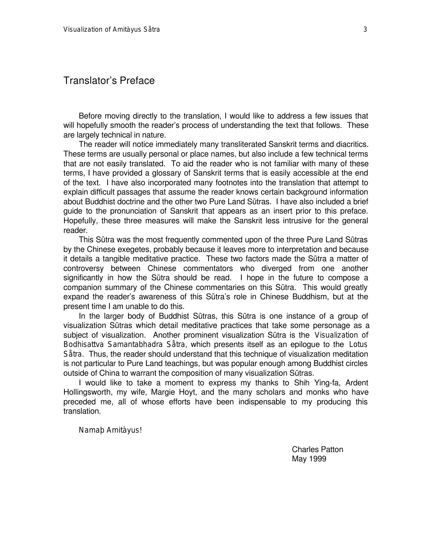#### Translator's Preface

Before moving directly to the translation, I would like to address a few issues that will hopefully smooth the reader's process of understanding the text that follows. These are largely technical in nature.

The reader will notice immediately many transliterated Sanskrit terms and diacritics. These terms are usually personal or place names, but also include a few technical terms that are not easily translated. To aid the reader who is not familiar with many of these terms, I have provided a glossary of Sanskrit terms that is easily accessible at the end of the text. I have also incorporated many footnotes into the translation that attempt to explain difficult passages that assume the reader knows certain background information about Buddhist doctrine and the other two Pure Land Såtras. I have also included a brief guide to the pronunciation of Sanskrit that appears as an insert prior to this preface. Hopefully, these three measures will make the Sanskrit less intrusive for the general reader.

This Såtra was the most frequently commented upon of the three Pure Land Såtras by the Chinese exegetes, probably because it leaves more to interpretation and because it details a tangible meditative practice. These two factors made the Såtra a matter of controversy between Chinese commentators who diverged from one another significantly in how the Såtra should be read. I hope in the future to compose a companion summary of the Chinese commentaries on this Såtra. This would greatly expand the reader's awareness of this Såtra's role in Chinese Buddhism, but at the present time I am unable to do this.

In the larger body of Buddhist Sūtras, this Sūtra is one instance of a group of visualization Såtras which detail meditative practices that take some personage as a subject of visualization. Another prominent visualization Såtra is the *Visualization of Bodhisattva Samantabhadra Såtra*, which presents itself as an epilogue to the *Lotus Såtra*. Thus, the reader should understand that this technique of visualization meditation is not particular to Pure Land teachings, but was popular enough among Buddhist circles outside of China to warrant the composition of many visualization Sūtras.

I would like to take a moment to express my thanks to Shih Ying-fa, Ardent Hollingsworth, my wife, Margie Hoyt, and the many scholars and monks who have preceded me, all of whose efforts have been indispensable to my producing this translation.

*Namaþ Amitàyus!*

Charles Patton May 1999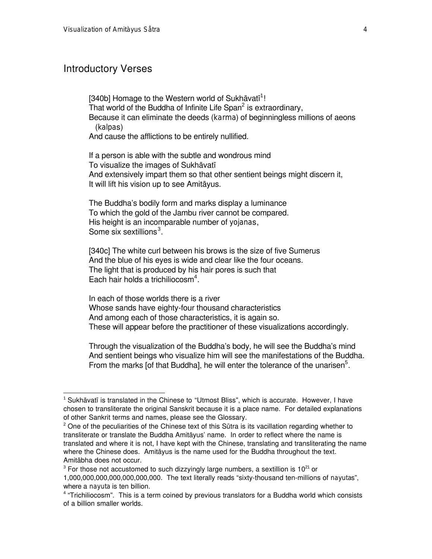### Introductory Verses

l

[340b] Homage to the Western world of Sukhāvatī<sup>1</sup>! That world of the Buddha of Infinite Life Span $^2$  is extraordinary, Because it can eliminate the deeds (*karma*) of beginningless millions of aeons (*kalpa*s)

And cause the afflictions to be entirely nullified.

If a person is able with the subtle and wondrous mind To visualize the images of Sukhāvatī And extensively impart them so that other sentient beings might discern it, It will lift his vision up to see Amitàyus.

The Buddha's bodily form and marks display a luminance To which the gold of the Jambu river cannot be compared. His height is an incomparable number of *yojana*s, Some six sextillions<sup>3</sup>.

[340c] The white curl between his brows is the size of five Sumerus And the blue of his eyes is wide and clear like the four oceans. The light that is produced by his hair pores is such that Each hair holds a trichiliocosm<sup>4</sup>.

In each of those worlds there is a river Whose sands have eighty-four thousand characteristics And among each of those characteristics, it is again so. These will appear before the practitioner of these visualizations accordingly.

Through the visualization of the Buddha's body, he will see the Buddha's mind And sentient beings who visualize him will see the manifestations of the Buddha. From the marks [of that Buddha], he will enter the tolerance of the unarisen $<sup>5</sup>$ .</sup>

 $^1$  Sukhāvatī is translated in the Chinese to "Utmost Bliss", which is accurate. However, I have chosen to transliterate the original Sanskrit because it is a place name. For detailed explanations of other Sankrit terms and names, please see the Glossary.

 $^{2}$  One of the peculiarities of the Chinese text of this Sūtra is its vacillation regarding whether to transliterate or translate the Buddha Amitàyus' name. In order to reflect where the name is translated and where it is not, I have kept with the Chinese, translating and transliterating the name where the Chinese does. Amitàyus is the name used for the Buddha throughout the text. Amitàbha does not occur.

 $^3$  For those not accustomed to such dizzyingly large numbers, a sextillion is 10 $^{21}$  or 1,000,000,000,000,000,000,000. The text literally reads "sixty-thousand ten-millions of *nayuta*s", where a *nayuta* is ten billion.

<sup>&</sup>lt;sup>4</sup> "Trichiliocosm". This is a term coined by previous translators for a Buddha world which consists of a billion smaller worlds.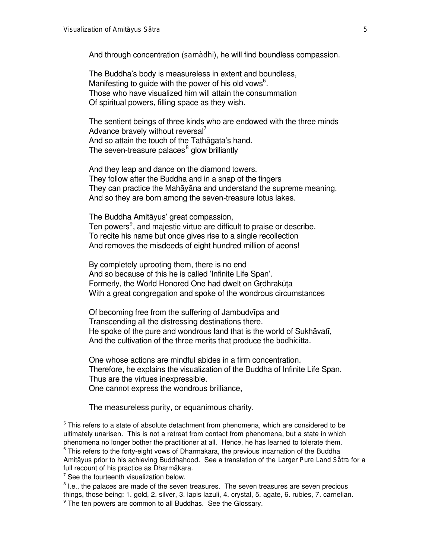And through concentration (*samàdhi*), he will find boundless compassion.

The Buddha's body is measureless in extent and boundless, Manifesting to guide with the power of his old vows $^6$ . Those who have visualized him will attain the consummation Of spiritual powers, filling space as they wish.

The sentient beings of three kinds who are endowed with the three minds Advance bravely without reversal $^{\prime}$ And so attain the touch of the Tathàgata's hand. The seven-treasure palaces $^8$  glow brilliantly

And they leap and dance on the diamond towers. They follow after the Buddha and in a snap of the fingers They can practice the Mahàyàna and understand the supreme meaning. And so they are born among the seven-treasure lotus lakes.

The Buddha Amitàyus' great compassion, Ten powers<sup>9</sup>, and majestic virtue are difficult to praise or describe. To recite his name but once gives rise to a single recollection And removes the misdeeds of eight hundred million of aeons!

By completely uprooting them, there is no end And so because of this he is called 'Infinite Life Span'. Formerly, the World Honored One had dwelt on Grdhrakūta With a great congregation and spoke of the wondrous circumstances

Of becoming free from the suffering of Jambudvīpa and Transcending all the distressing destinations there. He spoke of the pure and wondrous land that is the world of Sukhāvatī, And the cultivation of the three merits that produce the *bodhicitta*.

One whose actions are mindful abides in a firm concentration. Therefore, he explains the visualization of the Buddha of Infinite Life Span. Thus are the virtues inexpressible. One cannot express the wondrous brilliance,

The measureless purity, or equanimous charity.

 $5$  This refers to a state of absolute detachment from phenomena, which are considered to be ultimately unarisen. This is not a retreat from contact from phenomena, but a state in which phenomena no longer bother the practitioner at all. Hence, he has learned to tolerate them.  $^6$  This refers to the forty-eight vows of Dharmākara, the previous incarnation of the Buddha Amitàyus prior to his achieving Buddhahood. See a translation of the *Larger Pure Land Såtra* for a full recount of his practice as Dharmàkara.

 $7$  See the fourteenth visualization below.

 $^8$  l.e., the palaces are made of the seven treasures. The seven treasures are seven precious things, those being: 1. gold, 2. silver, 3. lapis lazuli, 4. crystal, 5. agate, 6. rubies, 7. carnelian. <sup>9</sup> The ten powers are common to all Buddhas. See the Glossary.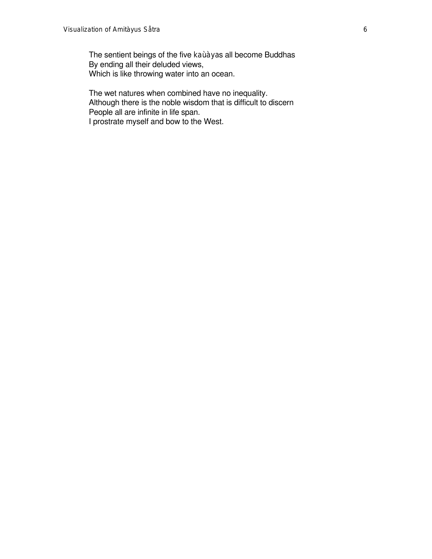The sentient beings of the five *kaùàya*s all become Buddhas By ending all their deluded views, Which is like throwing water into an ocean.

The wet natures when combined have no inequality. Although there is the noble wisdom that is difficult to discern People all are infinite in life span. I prostrate myself and bow to the West.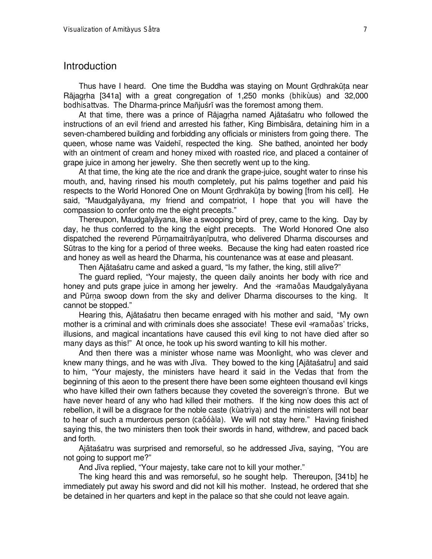#### Introduction

Thus have I heard. One time the Buddha was staying on Mount Grdhrakūta near Ràjagçha [341a] with a great congregation of 1,250 monks (*bhikùu*s) and 32,000 bodhisattvas. The Dharma-prince Mañjuśrī was the foremost among them.

At that time, there was a prince of Rājagrha named Ajātaśatru who followed the instructions of an evil friend and arrested his father, King Bimbisàra, detaining him in a seven-chambered building and forbidding any officials or ministers from going there. The queen, whose name was Vaidehã, respected the king. She bathed, anointed her body with an ointment of cream and honey mixed with roasted rice, and placed a container of grape juice in among her jewelry. She then secretly went up to the king.

At that time, the king ate the rice and drank the grape-juice, sought water to rinse his mouth, and, having rinsed his mouth completely, put his palms together and paid his respects to the World Honored One on Mount Grdhrakūta by bowing [from his cell]. He said, ßMaudgalyàyana, my friend and compatriot, I hope that you will have the compassion to confer onto me the eight precepts."

Thereupon, Maudgalyàyana, like a swooping bird of prey, came to the king. Day by day, he thus conferred to the king the eight precepts. The World Honored One also dispatched the reverend Pūrnamaitrāyanīputra, who delivered Dharma discourses and Såtras to the king for a period of three weeks. Because the king had eaten roasted rice and honey as well as heard the Dharma, his countenance was at ease and pleasant.

Then Ajātaśatru came and asked a guard, "Is my father, the king, still alive?"

The guard replied, "Your majesty, the queen daily anoints her body with rice and honey and puts grape juice in among her jewelry. And the *÷ramaõa*s Maudgalyàyana and Pūrna swoop down from the sky and deliver Dharma discourses to the king. It cannot be stopped."

Hearing this, Ajātaśatru then became enraged with his mother and said, "My own mother is a criminal and with criminals does she associate! These evil *÷ramaõa*s' tricks, illusions, and magical incantations have caused this evil king to not have died after so many days as this!" At once, he took up his sword wanting to kill his mother.

And then there was a minister whose name was Moonlight, who was clever and knew many things, and he was with Jīva. They bowed to the king [Ajātaśatru] and said to him, "Your majesty, the ministers have heard it said in the Vedas that from the beginning of this aeon to the present there have been some eighteen thousand evil kings who have killed their own fathers because they coveted the sovereign's throne. But we have never heard of any who had killed their mothers. If the king now does this act of rebellion, it will be a disgrace for the noble caste (*kùatriya*) and the ministers will not bear to hear of such a murderous person (*caõóàla*). We will not stay here." Having finished saying this, the two ministers then took their swords in hand, withdrew, and paced back and forth.

Ajātaśatru was surprised and remorseful, so he addressed Jīva, saying, "You are not going to support me?"

And Jīva replied, "Your majesty, take care not to kill your mother."

The king heard this and was remorseful, so he sought help. Thereupon, [341b] he immediately put away his sword and did not kill his mother. Instead, he ordered that she be detained in her quarters and kept in the palace so that she could not leave again.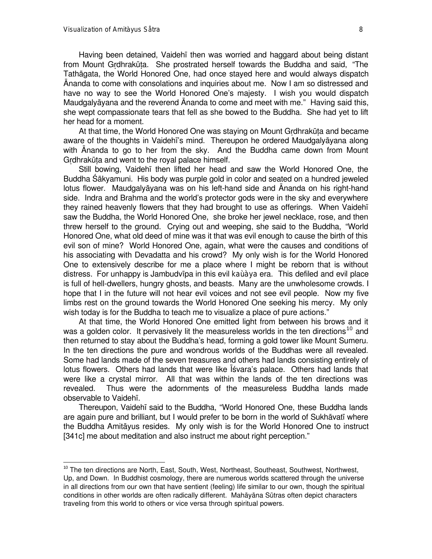l

Having been detained, Vaidehã then was worried and haggard about being distant from Mount Grdhrakūta. She prostrated herself towards the Buddha and said, "The Tathàgata, the World Honored One, had once stayed here and would always dispatch ânanda to come with consolations and inquiries about me. Now I am so distressed and have no way to see the World Honored One's majesty. I wish you would dispatch Maudgalyāyana and the reverend Ananda to come and meet with me." Having said this, she wept compassionate tears that fell as she bowed to the Buddha. She had yet to lift her head for a moment.

At that time, the World Honored One was staying on Mount Grdhrakūta and became aware of the thoughts in Vaidehī's mind. Thereupon he ordered Maudgalyāyana along with ânanda to go to her from the sky. And the Buddha came down from Mount Grdhrakūta and went to the royal palace himself.

Still bowing, Vaidehã then lifted her head and saw the World Honored One, the Buddha Śākyamuni. His body was purple gold in color and seated on a hundred jeweled lotus flower. Maudgalyàyana was on his left-hand side and ânanda on his right-hand side. Indra and Brahma and the world's protector gods were in the sky and everywhere they rained heavenly flowers that they had brought to use as offerings. When Vaidehã saw the Buddha, the World Honored One, she broke her jewel necklace, rose, and then threw herself to the ground. Crying out and weeping, she said to the Buddha, "World" Honored One, what old deed of mine was it that was evil enough to cause the birth of this evil son of mine? World Honored One, again, what were the causes and conditions of his associating with Devadatta and his crowd? My only wish is for the World Honored One to extensively describe for me a place where I might be reborn that is without distress. For unhappy is Jambudvīpa in this evil *kaùàya* era. This defiled and evil place is full of hell-dwellers, hungry ghosts, and beasts. Many are the unwholesome crowds. I hope that I in the future will not hear evil voices and not see evil people. Now my five limbs rest on the ground towards the World Honored One seeking his mercy. My only wish today is for the Buddha to teach me to visualize a place of pure actions."

At that time, the World Honored One emitted light from between his brows and it was a golden color. It pervasively lit the measureless worlds in the ten directions<sup>10</sup> and then returned to stay about the Buddha's head, forming a gold tower like Mount Sumeru. In the ten directions the pure and wondrous worlds of the Buddhas were all revealed. Some had lands made of the seven treasures and others had lands consisting entirely of lotus flowers. Others had lands that were like Isvara's palace. Others had lands that were like a crystal mirror. All that was within the lands of the ten directions was revealed. Thus were the adornments of the measureless Buddha lands made observable to Vaidehã.

Thereupon, Vaidehī said to the Buddha, "World Honored One, these Buddha lands are again pure and brilliant, but I would prefer to be born in the world of Sukhāvatī where the Buddha Amitàyus resides. My only wish is for the World Honored One to instruct [341c] me about meditation and also instruct me about right perception."

<sup>&</sup>lt;sup>10</sup> The ten directions are North, East, South, West, Northeast, Southeast, Southwest, Northwest, Up, and Down. In Buddhist cosmology, there are numerous worlds scattered through the universe in all directions from our own that have sentient (feeling) life similar to our own, though the spiritual conditions in other worlds are often radically different. Mahāyāna Sūtras often depict characters traveling from this world to others or vice versa through spiritual powers.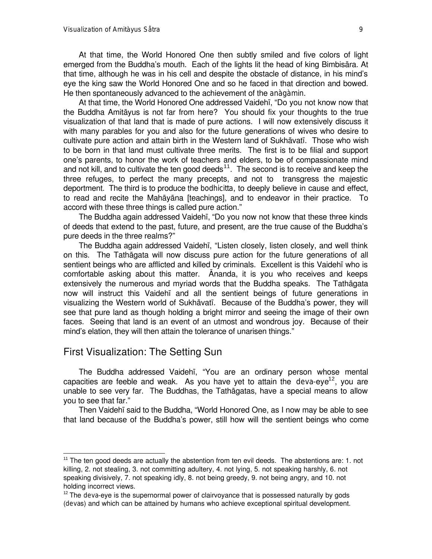At that time, the World Honored One addressed Vaidehī, "Do you not know now that the Buddha Amitàyus is not far from here? You should fix your thoughts to the true visualization of that land that is made of pure actions. I will now extensively discuss it with many parables for you and also for the future generations of wives who desire to cultivate pure action and attain birth in the Western land of Sukhāvatī. Those who wish to be born in that land must cultivate three merits. The first is to be filial and support one's parents, to honor the work of teachers and elders, to be of compassionate mind and not kill, and to cultivate the ten good deeds<sup>11</sup>. The second is to receive and keep the three refuges, to perfect the many precepts, and not to transgress the majestic deportment. The third is to produce the *bodhicitta*, to deeply believe in cause and effect, to read and recite the Mahàyàna [teachings], and to endeavor in their practice. To accord with these three things is called pure action."

The Buddha again addressed Vaidehī, "Do you now not know that these three kinds of deeds that extend to the past, future, and present, are the true cause of the Buddha's pure deeds in the three realms?"

The Buddha again addressed Vaidehī, "Listen closely, listen closely, and well think on this. The Tathàgata will now discuss pure action for the future generations of all sentient beings who are afflicted and killed by criminals. Excellent is this Vaidehī who is comfortable asking about this matter. Ananda, it is you who receives and keeps extensively the numerous and myriad words that the Buddha speaks. The Tathàgata now will instruct this Vaidehã and all the sentient beings of future generations in visualizing the Western world of Sukhāvatī. Because of the Buddha's power, they will see that pure land as though holding a bright mirror and seeing the image of their own faces. Seeing that land is an event of an utmost and wondrous joy. Because of their mind's elation, they will then attain the tolerance of unarisen things."

#### First Visualization: The Setting Sun

l

The Buddha addressed Vaidehī, "You are an ordinary person whose mental capacities are feeble and weak. As you have yet to attain the *deva*-eye<sup>12</sup>, you are unable to see very far. The Buddhas, the Tathàgatas, have a special means to allow you to see that far."

Then Vaidehã said to the Buddha, ßWorld Honored One, as I now may be able to see that land because of the Buddha's power, still how will the sentient beings who come

<sup>&</sup>lt;sup>11</sup> The ten good deeds are actually the abstention from ten evil deeds. The abstentions are: 1. not killing, 2. not stealing, 3. not committing adultery, 4. not lying, 5. not speaking harshly, 6. not speaking divisively, 7. not speaking idly, 8. not being greedy, 9. not being angry, and 10. not holding incorrect views.

<sup>&</sup>lt;sup>12</sup> The *deva*-eye is the supernormal power of clairvoyance that is possessed naturally by gods (*deva*s) and which can be attained by humans who achieve exceptional spiritual development.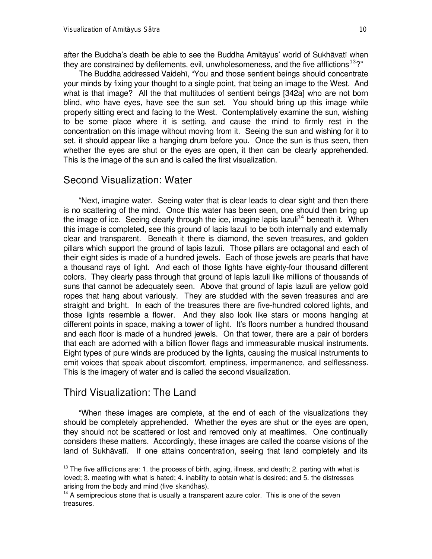after the Buddha's death be able to see the Buddha Amitàyus' world of Sukhàvatã when they are constrained by defilements, evil, unwholesomeness, and the five afflictions<sup>13</sup>?"

The Buddha addressed Vaidehī, "You and those sentient beings should concentrate your minds by fixing your thought to a single point, that being an image to the West. And what is that image? All the that multitudes of sentient beings [342a] who are not born blind, who have eyes, have see the sun set. You should bring up this image while properly sitting erect and facing to the West. Contemplatively examine the sun, wishing to be some place where it is setting, and cause the mind to firmly rest in the concentration on this image without moving from it. Seeing the sun and wishing for it to set, it should appear like a hanging drum before you. Once the sun is thus seen, then whether the eyes are shut or the eyes are open, it then can be clearly apprehended. This is the image of the sun and is called the first visualization.

#### Second Visualization: Water

"Next, imagine water. Seeing water that is clear leads to clear sight and then there is no scattering of the mind. Once this water has been seen, one should then bring up the image of ice. Seeing clearly through the ice, imagine lapis lazuli<sup>14</sup> beneath it. When this image is completed, see this ground of lapis lazuli to be both internally and externally clear and transparent. Beneath it there is diamond, the seven treasures, and golden pillars which support the ground of lapis lazuli. Those pillars are octagonal and each of their eight sides is made of a hundred jewels. Each of those jewels are pearls that have a thousand rays of light. And each of those lights have eighty-four thousand different colors. They clearly pass through that ground of lapis lazuli like millions of thousands of suns that cannot be adequately seen. Above that ground of lapis lazuli are yellow gold ropes that hang about variously. They are studded with the seven treasures and are straight and bright. In each of the treasures there are five-hundred colored lights, and those lights resemble a flower. And they also look like stars or moons hanging at different points in space, making a tower of light. It's floors number a hundred thousand and each floor is made of a hundred jewels. On that tower, there are a pair of borders that each are adorned with a billion flower flags and immeasurable musical instruments. Eight types of pure winds are produced by the lights, causing the musical instruments to emit voices that speak about discomfort, emptiness, impermanence, and selflessness. This is the imagery of water and is called the second visualization.

#### Third Visualization: The Land

l

ßWhen these images are complete, at the end of each of the visualizations they should be completely apprehended. Whether the eyes are shut or the eyes are open, they should not be scattered or lost and removed only at mealtimes. One continually considers these matters. Accordingly, these images are called the coarse visions of the land of Sukhāvatī. If one attains concentration, seeing that land completely and its

 $13$  The five afflictions are: 1. the process of birth, aging, illness, and death; 2. parting with what is loved; 3. meeting with what is hated; 4. inability to obtain what is desired; and 5. the distresses arising from the body and mind (five *skandha*s).

 $14$  A semiprecious stone that is usually a transparent azure color. This is one of the seven treasures.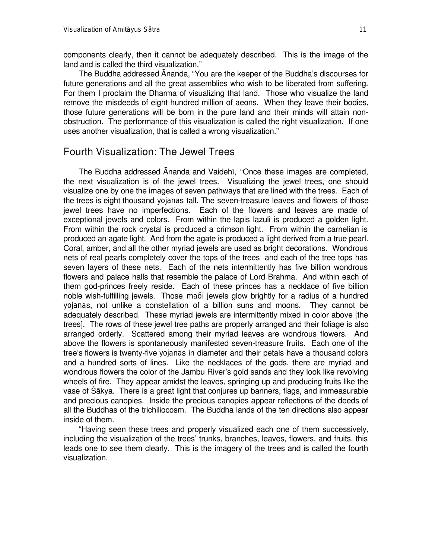components clearly, then it cannot be adequately described. This is the image of the land and is called the third visualization."

The Buddha addressed Ananda, "You are the keeper of the Buddha's discourses for future generations and all the great assemblies who wish to be liberated from suffering. For them I proclaim the Dharma of visualizing that land. Those who visualize the land remove the misdeeds of eight hundred million of aeons. When they leave their bodies, those future generations will be born in the pure land and their minds will attain nonobstruction. The performance of this visualization is called the right visualization. If one uses another visualization, that is called a wrong visualization."

#### Fourth Visualization: The Jewel Trees

The Buddha addressed Ananda and Vaidehī, "Once these images are completed, the next visualization is of the jewel trees. Visualizing the jewel trees, one should visualize one by one the images of seven pathways that are lined with the trees. Each of the trees is eight thousand *yojana*s tall. The seven-treasure leaves and flowers of those jewel trees have no imperfections. Each of the flowers and leaves are made of exceptional jewels and colors. From within the lapis lazuli is produced a golden light. From within the rock crystal is produced a crimson light. From within the carnelian is produced an agate light. And from the agate is produced a light derived from a true pearl. Coral, amber, and all the other myriad jewels are used as bright decorations. Wondrous nets of real pearls completely cover the tops of the trees and each of the tree tops has seven layers of these nets. Each of the nets intermittently has five billion wondrous flowers and palace halls that resemble the palace of Lord Brahma. And within each of them god-princes freely reside. Each of these princes has a necklace of five billion noble wish-fulfilling jewels. Those *maõi* jewels glow brightly for a radius of a hundred *yojana*s, not unlike a constellation of a billion suns and moons. They cannot be adequately described. These myriad jewels are intermittently mixed in color above [the trees]. The rows of these jewel tree paths are properly arranged and their foliage is also arranged orderly. Scattered among their myriad leaves are wondrous flowers. And above the flowers is spontaneously manifested seven-treasure fruits. Each one of the tree's flowers is twenty-five *yojana*s in diameter and their petals have a thousand colors and a hundred sorts of lines. Like the necklaces of the gods, there are myriad and wondrous flowers the color of the Jambu River's gold sands and they look like revolving wheels of fire. They appear amidst the leaves, springing up and producing fruits like the vase of øàkya. There is a great light that conjures up banners, flags, and immeasurable and precious canopies. Inside the precious canopies appear reflections of the deeds of all the Buddhas of the trichiliocosm. The Buddha lands of the ten directions also appear inside of them.

ßHaving seen these trees and properly visualized each one of them successively, including the visualization of the trees' trunks, branches, leaves, flowers, and fruits, this leads one to see them clearly. This is the imagery of the trees and is called the fourth visualization.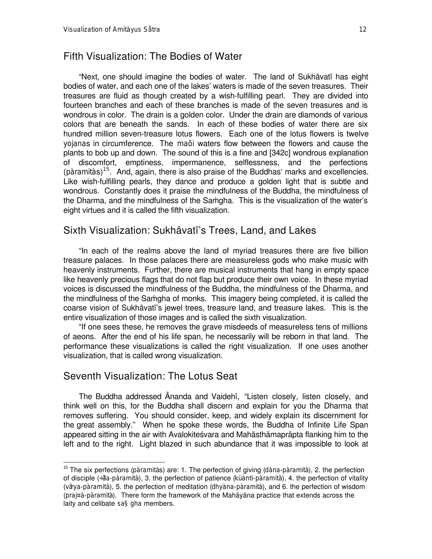#### Fifth Visualization: The Bodies of Water

"Next, one should imagine the bodies of water. The land of Sukhāvatī has eight bodies of water, and each one of the lakes' waters is made of the seven treasures. Their treasures are fluid as though created by a wish-fulfilling pearl. They are divided into fourteen branches and each of these branches is made of the seven treasures and is wondrous in color. The drain is a golden color. Under the drain are diamonds of various colors that are beneath the sands. In each of these bodies of water there are six hundred million seven-treasure lotus flowers. Each one of the lotus flowers is twelve *yojana*s in circumference. The *maõi* waters flow between the flowers and cause the plants to bob up and down. The sound of this is a fine and [342c] wondrous explanation of discomfort, emptiness, impermanence, selflessness, and the perfections (*pàramità*s)<sup>15</sup>. And, again, there is also praise of the Buddhas' marks and excellencies. Like wish-fulfilling pearls, they dance and produce a golden light that is subtle and wondrous. Constantly does it praise the mindfulness of the Buddha, the mindfulness of the Dharma, and the mindfulness of the Samgha. This is the visualization of the water's eight virtues and it is called the fifth visualization.

#### Sixth Visualization: Sukhāvatī's Trees, Land, and Lakes

"In each of the realms above the land of myriad treasures there are five billion treasure palaces. In those palaces there are measureless gods who make music with heavenly instruments. Further, there are musical instruments that hang in empty space like heavenly precious flags that do not flap but produce their own voice. In these myriad voices is discussed the mindfulness of the Buddha, the mindfulness of the Dharma, and the mindfulness of the Samgha of monks. This imagery being completed, it is called the coarse vision of Sukhāvatī's jewel trees, treasure land, and treasure lakes. This is the entire visualization of those images and is called the sixth visualization.

"If one sees these, he removes the grave misdeeds of measureless tens of millions of aeons. After the end of his life span, he necessarily will be reborn in that land. The performance these visualizations is called the right visualization. If one uses another visualization, that is called wrong visualization.

## Seventh Visualization: The Lotus Seat

l

The Buddha addressed Ananda and Vaidehi, "Listen closely, listen closely, and think well on this, for the Buddha shall discern and explain for you the Dharma that removes suffering. You should consider, keep, and widely explain its discernment for the great assembly." When he spoke these words, the Buddha of Infinite Life Span appeared sitting in the air with Avalokiteśvara and Mahāsthāmaprāpta flanking him to the left and to the right. Light blazed in such abundance that it was impossible to look at

<sup>15</sup> The six perfections (*pàramità*s) are: 1. The perfection of giving (*dàna-pàramità*), 2. the perfection of disciple (*÷ãla-pàramità*), 3. the perfection of patience (*kùànti-pàramità*), 4. the perfection of vitality (*vãrya-pàramità*), 5. the perfection of meditation (*dhyàna-pàramità*), and 6. the perfection of wisdom (*praj¤à-pàramità*). There form the framework of the Mahàyàna practice that extends across the laity and celibate *sa§gha* members.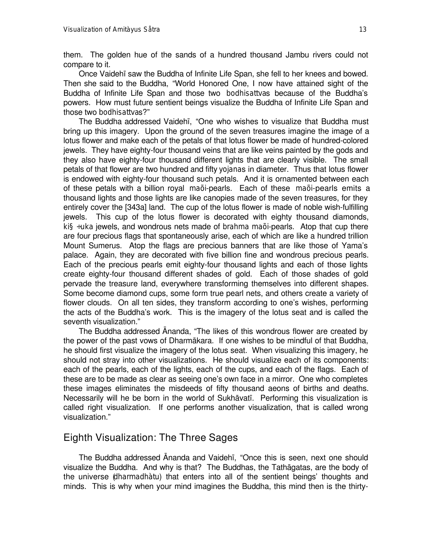them. The golden hue of the sands of a hundred thousand Jambu rivers could not compare to it.

Once Vaidehã saw the Buddha of Infinite Life Span, she fell to her knees and bowed. Then she said to the Buddha, "World Honored One, I now have attained sight of the Buddha of Infinite Life Span and those two *bodhisattva*s because of the Buddha's powers. How must future sentient beings visualize the Buddha of Infinite Life Span and those two *bodhisattva*s?"

The Buddha addressed Vaidehī, "One who wishes to visualize that Buddha must bring up this imagery. Upon the ground of the seven treasures imagine the image of a lotus flower and make each of the petals of that lotus flower be made of hundred-colored jewels. They have eighty-four thousand veins that are like veins painted by the gods and they also have eighty-four thousand different lights that are clearly visible. The small petals of that flower are two hundred and fifty *yojana*s in diameter. Thus that lotus flower is endowed with eighty-four thousand such petals. And it is ornamented between each of these petals with a billion royal *maõi*-pearls. Each of these *maõi*-pearls emits a thousand lights and those lights are like canopies made of the seven treasures, for they entirely cover the [343a] land. The cup of the lotus flower is made of noble wish-fulfilling jewels. This cup of the lotus flower is decorated with eighty thousand diamonds, *ki§÷uka* jewels, and wondrous nets made of *brahma maõi*-pearls. Atop that cup there are four precious flags that spontaneously arise, each of which are like a hundred trillion Mount Sumerus. Atop the flags are precious banners that are like those of Yama's palace. Again, they are decorated with five billion fine and wondrous precious pearls. Each of the precious pearls emit eighty-four thousand lights and each of those lights create eighty-four thousand different shades of gold. Each of those shades of gold pervade the treasure land, everywhere transforming themselves into different shapes. Some become diamond cups, some form true pearl nets, and others create a variety of flower clouds. On all ten sides, they transform according to one's wishes, performing the acts of the Buddha's work. This is the imagery of the lotus seat and is called the seventh visualization."

The Buddha addressed Ananda, "The likes of this wondrous flower are created by the power of the past vows of Dharmàkara. If one wishes to be mindful of that Buddha, he should first visualize the imagery of the lotus seat. When visualizing this imagery, he should not stray into other visualizations. He should visualize each of its components: each of the pearls, each of the lights, each of the cups, and each of the flags. Each of these are to be made as clear as seeing one's own face in a mirror. One who completes these images eliminates the misdeeds of fifty thousand aeons of births and deaths. Necessarily will he be born in the world of Sukhāvatī. Performing this visualization is called right visualization. If one performs another visualization, that is called wrong visualization."

### Eighth Visualization: The Three Sages

The Buddha addressed Ananda and Vaidehī, "Once this is seen, next one should visualize the Buddha. And why is that? The Buddhas, the Tathàgatas, are the body of the universe (*dharmadhàtu*) that enters into all of the sentient beings' thoughts and minds. This is why when your mind imagines the Buddha, this mind then is the thirty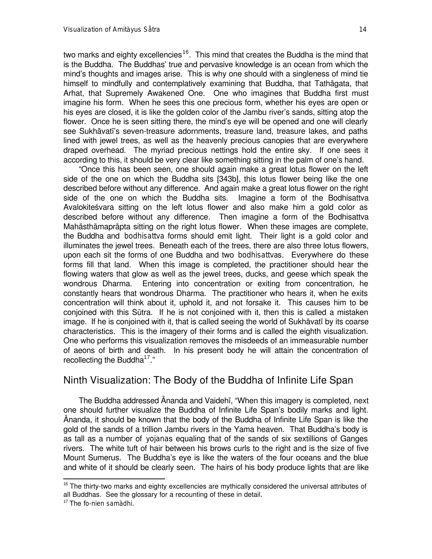two marks and eighty excellencies<sup>16</sup>. This mind that creates the Buddha is the mind that is the Buddha. The Buddhas' true and pervasive knowledge is an ocean from which the mind's thoughts and images arise. This is why one should with a singleness of mind tie himself to mindfully and contemplatively examining that Buddha, that Tathàgata, that Arhat, that Supremely Awakened One. One who imagines that Buddha first must imagine his form. When he sees this one precious form, whether his eyes are open or his eyes are closed, it is like the golden color of the Jambu river's sands, sitting atop the flower. Once he is seen sitting there, the mind's eye will be opened and one will clearly see Sukhāvatī's seven-treasure adornments, treasure land, treasure lakes, and paths lined with jewel trees, as well as the heavenly precious canopies that are everywhere draped overhead. The myriad precious nettings hold the entire sky. If one sees it according to this, it should be very clear like something sitting in the palm of one's hand.

ßOnce this has been seen, one should again make a great lotus flower on the left side of the one on which the Buddha sits [343b], this lotus flower being like the one described before without any difference. And again make a great lotus flower on the right side of the one on which the Buddha sits. Imagine a form of the Bodhisattva Avalokite svara sitting on the left lotus flower and also make him a gold color as described before without any difference. Then imagine a form of the Bodhisattva Mahàsthàmapràpta sitting on the right lotus flower. When these images are complete, the Buddha and *bodhisattva* forms should emit light. Their light is a gold color and illuminates the jewel trees. Beneath each of the trees, there are also three lotus flowers, upon each sit the forms of one Buddha and two *bodhisattva*s. Everywhere do these forms fill that land. When this image is completed, the practitioner should hear the flowing waters that glow as well as the jewel trees, ducks, and geese which speak the wondrous Dharma. Entering into concentration or exiting from concentration, he constantly hears that wondrous Dharma. The practitioner who hears it, when he exits concentration will think about it, uphold it, and not forsake it. This causes him to be conjoined with this Såtra. If he is not conjoined with it, then this is called a mistaken image. If he is conjoined with it, that is called seeing the world of Sukhāvatī by its coarse characteristics. This is the imagery of their forms and is called the eighth visualization. One who performs this visualization removes the misdeeds of an immeasurable number of aeons of birth and death. In his present body he will attain the concentration of recollecting the Buddha<sup>17</sup>."

## Ninth Visualization: The Body of the Buddha of Infinite Life Span

The Buddha addressed Ananda and Vaidehī, "When this imagery is completed, next one should further visualize the Buddha of Infinite Life Span's bodily marks and light. ânanda, it should be known that the body of the Buddha of Infinite Life Span is like the gold of the sands of a trillion Jambu rivers in the Yama heaven. That Buddha's body is as tall as a number of *yojana*s equaling that of the sands of six sextillions of Ganges rivers. The white tuft of hair between his brows curls to the right and is the size of five Mount Sumerus. The Buddha's eye is like the waters of the four oceans and the blue and white of it should be clearly seen. The hairs of his body produce lights that are like

 $16$  The thirty-two marks and eighty excellencies are mythically considered the universal attributes of all Buddhas. See the glossary for a recounting of these in detail.

<sup>17</sup> The *fo-nien samàdhi*.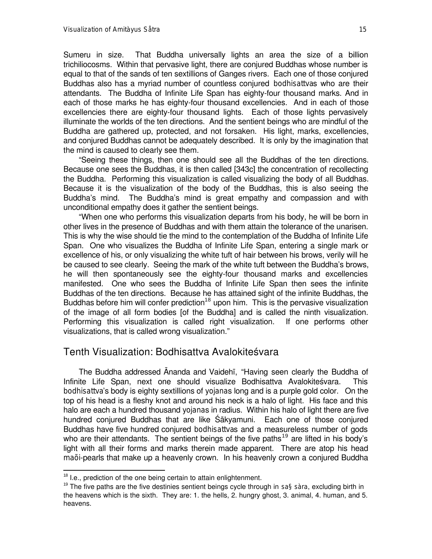Sumeru in size. That Buddha universally lights an area the size of a billion trichiliocosms. Within that pervasive light, there are conjured Buddhas whose number is equal to that of the sands of ten sextillions of Ganges rivers. Each one of those conjured Buddhas also has a myriad number of countless conjured *bodhisattva*s who are their attendants. The Buddha of Infinite Life Span has eighty-four thousand marks. And in each of those marks he has eighty-four thousand excellencies. And in each of those excellencies there are eighty-four thousand lights. Each of those lights pervasively illuminate the worlds of the ten directions. And the sentient beings who are mindful of the Buddha are gathered up, protected, and not forsaken. His light, marks, excellencies, and conjured Buddhas cannot be adequately described. It is only by the imagination that the mind is caused to clearly see them.

"Seeing these things, then one should see all the Buddhas of the ten directions. Because one sees the Buddhas, it is then called [343c] the concentration of recollecting the Buddha. Performing this visualization is called visualizing the body of all Buddhas. Because it is the visualization of the body of the Buddhas, this is also seeing the Buddha's mind. The Buddha's mind is great empathy and compassion and with unconditional empathy does it gather the sentient beings.

ßWhen one who performs this visualization departs from his body, he will be born in other lives in the presence of Buddhas and with them attain the tolerance of the unarisen. This is why the wise should tie the mind to the contemplation of the Buddha of Infinite Life Span. One who visualizes the Buddha of Infinite Life Span, entering a single mark or excellence of his, or only visualizing the white tuft of hair between his brows, verily will he be caused to see clearly. Seeing the mark of the white tuft between the Buddha's brows, he will then spontaneously see the eighty-four thousand marks and excellencies manifested. One who sees the Buddha of Infinite Life Span then sees the infinite Buddhas of the ten directions. Because he has attained sight of the infinite Buddhas, the Buddhas before him will confer prediction<sup>18</sup> upon him. This is the pervasive visualization of the image of all form bodies [of the Buddha] and is called the ninth visualization. Performing this visualization is called right visualization. If one performs other visualizations, that is called wrong visualization."

#### Tenth Visualization: Bodhisattva Avalokiteśvara

The Buddha addressed Ananda and Vaidehi, "Having seen clearly the Buddha of Infinite Life Span, next one should visualize Bodhisattva Avalokiteśvara. This *bodhisattva*'s body is eighty sextillions of *yojana*s long and is a purple gold color. On the top of his head is a fleshy knot and around his neck is a halo of light. His face and this halo are each a hundred thousand *yojana*s in radius. Within his halo of light there are five hundred conjured Buddhas that are like Śākyamuni. Each one of those conjured Buddhas have five hundred conjured *bodhisattva*s and a measureless number of gods who are their attendants. The sentient beings of the five paths<sup>19</sup> are lifted in his body's light with all their forms and marks therein made apparent. There are atop his head *maõi*-pearls that make up a heavenly crown. In his heavenly crown a conjured Buddha

<sup>&</sup>lt;sup>18</sup> I.e., prediction of the one being certain to attain enlightenment.

<sup>19</sup> The five paths are the five destinies sentient beings cycle through in *sa§sàra*, excluding birth in the heavens which is the sixth. They are: 1. the hells, 2. hungry ghost, 3. animal, 4. human, and 5. heavens.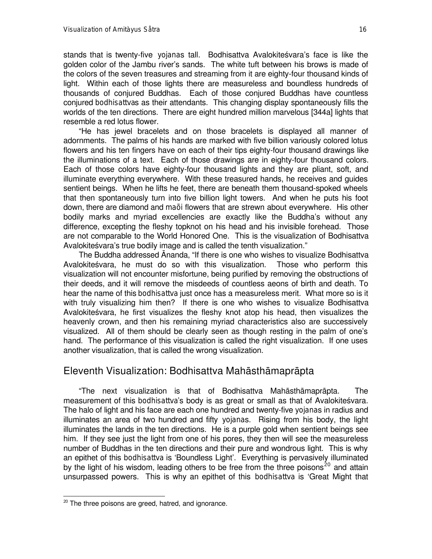stands that is twenty-five *yojana*s tall. Bodhisattva Avalokiteśvara's face is like the golden color of the Jambu river's sands. The white tuft between his brows is made of the colors of the seven treasures and streaming from it are eighty-four thousand kinds of light. Within each of those lights there are measureless and boundless hundreds of thousands of conjured Buddhas. Each of those conjured Buddhas have countless conjured *bodhisattva*s as their attendants. This changing display spontaneously fills the worlds of the ten directions. There are eight hundred million marvelous [344a] lights that resemble a red lotus flower.

"He has jewel bracelets and on those bracelets is displayed all manner of adornments. The palms of his hands are marked with five billion variously colored lotus flowers and his ten fingers have on each of their tips eighty-four thousand drawings like the illuminations of a text. Each of those drawings are in eighty-four thousand colors. Each of those colors have eighty-four thousand lights and they are pliant, soft, and illuminate everything everywhere. With these treasured hands, he receives and guides sentient beings. When he lifts he feet, there are beneath them thousand-spoked wheels that then spontaneously turn into five billion light towers. And when he puts his foot down, there are diamond and *maõi* flowers that are strewn about everywhere. His other bodily marks and myriad excellencies are exactly like the Buddha's without any difference, excepting the fleshy topknot on his head and his invisible forehead. Those are not comparable to the World Honored One. This is the visualization of Bodhisattva Avalokiteśvara's true bodily image and is called the tenth visualization."

The Buddha addressed Ananda, "If there is one who wishes to visualize Bodhisattva Avalokiteśvara, he must do so with this visualization. Those who perform this visualization will not encounter misfortune, being purified by removing the obstructions of their deeds, and it will remove the misdeeds of countless aeons of birth and death. To hear the name of this *bodhisattva* just once has a measureless merit. What more so is it with truly visualizing him then? If there is one who wishes to visualize Bodhisattva Avalokitesvara, he first visualizes the fleshy knot atop his head, then visualizes the heavenly crown, and then his remaining myriad characteristics also are successively visualized. All of them should be clearly seen as though resting in the palm of one's hand. The performance of this visualization is called the right visualization. If one uses another visualization, that is called the wrong visualization.

#### Eleventh Visualization: Bodhisattva Mahàsthàmapràpta

ßThe next visualization is that of Bodhisattva Mahàsthàmapràpta. The measurement of this *bodhisattva*'s body is as great or small as that of Avalokites vara. The halo of light and his face are each one hundred and twenty-five *yojana*s in radius and illuminates an area of two hundred and fifty *yojana*s. Rising from his body, the light illuminates the lands in the ten directions. He is a purple gold when sentient beings see him. If they see just the light from one of his pores, they then will see the measureless number of Buddhas in the ten directions and their pure and wondrous light. This is why an epithet of this *bodhisattva* is `Boundless Light'. Everything is pervasively illuminated by the light of his wisdom, leading others to be free from the three poisons<sup>20</sup> and attain unsurpassed powers. This is why an epithet of this *bodhisattva* is 'Great Might that

 $20$  The three poisons are greed, hatred, and ignorance.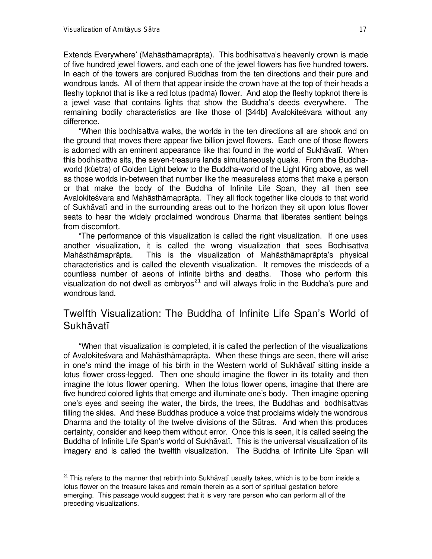l

Extends Everywhere' (Mahàsthàmapràpta). This *bodhisattva*'s heavenly crown is made of five hundred jewel flowers, and each one of the jewel flowers has five hundred towers. In each of the towers are conjured Buddhas from the ten directions and their pure and wondrous lands. All of them that appear inside the crown have at the top of their heads a fleshy topknot that is like a red lotus (*padma*) flower. And atop the fleshy topknot there is a jewel vase that contains lights that show the Buddha's deeds everywhere. The remaining bodily characteristics are like those of [344b] Avalokiteśvara without any difference.

ßWhen this *bodhisattva* walks, the worlds in the ten directions all are shook and on the ground that moves there appear five billion jewel flowers. Each one of those flowers is adorned with an eminent appearance like that found in the world of Sukhāvatī. When this *bodhisattva* sits, the seven-treasure lands simultaneously quake. From the Buddhaworld (*kùetra*) of Golden Light below to the Buddha-world of the Light King above, as well as those worlds in-between that number like the measureless atoms that make a person or that make the body of the Buddha of Infinite Life Span, they all then see Avalokiteśvara and Mahāsthāmaprāpta. They all flock together like clouds to that world of Sukhàvatã and in the surrounding areas out to the horizon they sit upon lotus flower seats to hear the widely proclaimed wondrous Dharma that liberates sentient beings from discomfort.

ßThe performance of this visualization is called the right visualization. If one uses another visualization, it is called the wrong visualization that sees Bodhisattva Mahàsthàmapràpta. This is the visualization of Mahàsthàmapràpta's physical characteristics and is called the eleventh visualization. It removes the misdeeds of a countless number of aeons of infinite births and deaths. Those who perform this visualization do not dwell as embryos<sup>21</sup> and will always frolic in the Buddha's pure and wondrous land.

## Twelfth Visualization: The Buddha of Infinite Life Span's World of **Sukhāvatī**

ßWhen that visualization is completed, it is called the perfection of the visualizations of Avalokiteśvara and Mahāsthāmaprāpta. When these things are seen, there will arise in one's mind the image of his birth in the Western world of Sukhāvatī sitting inside a lotus flower cross-legged. Then one should imagine the flower in its totality and then imagine the lotus flower opening. When the lotus flower opens, imagine that there are five hundred colored lights that emerge and illuminate one's body. Then imagine opening one's eyes and seeing the water, the birds, the trees, the Buddhas and *bodhisattva*s filling the skies. And these Buddhas produce a voice that proclaims widely the wondrous Dharma and the totality of the twelve divisions of the Sūtras. And when this produces certainty, consider and keep them without error. Once this is seen, it is called seeing the Buddha of Infinite Life Span's world of Sukhāvatī. This is the universal visualization of its imagery and is called the twelfth visualization. The Buddha of Infinite Life Span will

 $^{21}$  This refers to the manner that rebirth into Sukhāvatī usually takes, which is to be born inside a lotus flower on the treasure lakes and remain therein as a sort of spiritual gestation before emerging. This passage would suggest that it is very rare person who can perform all of the preceding visualizations.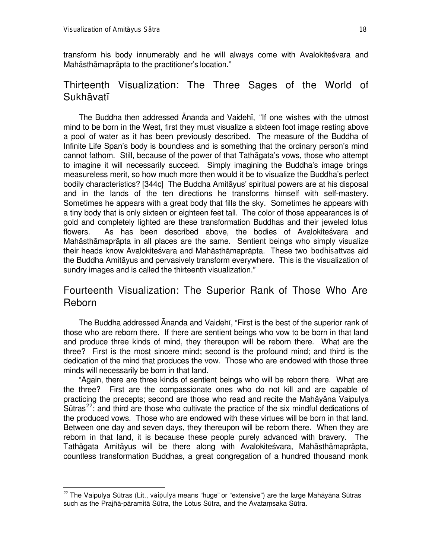l

transform his body innumerably and he will always come with Avalokite svara and Mahāsthāmaprāpta to the practitioner's location."

## Thirteenth Visualization: The Three Sages of the World of **Sukhāvatī**

The Buddha then addressed Ananda and Vaidehī. "If one wishes with the utmost mind to be born in the West, first they must visualize a sixteen foot image resting above a pool of water as it has been previously described. The measure of the Buddha of Infinite Life Span's body is boundless and is something that the ordinary person's mind cannot fathom. Still, because of the power of that Tathàgata's vows, those who attempt to imagine it will necessarily succeed. Simply imagining the Buddha's image brings measureless merit, so how much more then would it be to visualize the Buddha's perfect bodily characteristics? [344c] The Buddha Amitàyus' spiritual powers are at his disposal and in the lands of the ten directions he transforms himself with self-mastery. Sometimes he appears with a great body that fills the sky. Sometimes he appears with a tiny body that is only sixteen or eighteen feet tall. The color of those appearances is of gold and completely lighted are these transformation Buddhas and their jeweled lotus flowers. As has been described above, the bodies of Avalokitesvara and Mahàsthàmapràpta in all places are the same. Sentient beings who simply visualize their heads know Avalokite÷vara and Mahàsthàmapràpta. These two *bodhisattva*s aid the Buddha Amitàyus and pervasively transform everywhere. This is the visualization of sundry images and is called the thirteenth visualization."

# Fourteenth Visualization: The Superior Rank of Those Who Are Reborn

The Buddha addressed Ananda and Vaidehī, "First is the best of the superior rank of those who are reborn there. If there are sentient beings who vow to be born in that land and produce three kinds of mind, they thereupon will be reborn there. What are the three? First is the most sincere mind; second is the profound mind; and third is the dedication of the mind that produces the vow. Those who are endowed with those three minds will necessarily be born in that land.

"Again, there are three kinds of sentient beings who will be reborn there. What are the three? First are the compassionate ones who do not kill and are capable of practicing the precepts; second are those who read and recite the Mahàyàna Vaipulya Sūtras<sup>22</sup>; and third are those who cultivate the practice of the six mindful dedications of the produced vows. Those who are endowed with these virtues will be born in that land. Between one day and seven days, they thereupon will be reborn there. When they are reborn in that land, it is because these people purely advanced with bravery. The Tathāgata Amitāyus will be there along with Avalokiteśvara, Mahāsthāmaprāpta, countless transformation Buddhas, a great congregation of a hundred thousand monk

<sup>&</sup>lt;sup>22</sup> The Vaipulya Sūtras (Lit., *vaipulya* means "huge" or "extensive") are the large Mahāyāna Sūtras such as the Prajñā-pāramitā Sūtra, the Lotus Sūtra, and the Avatamsaka Sūtra.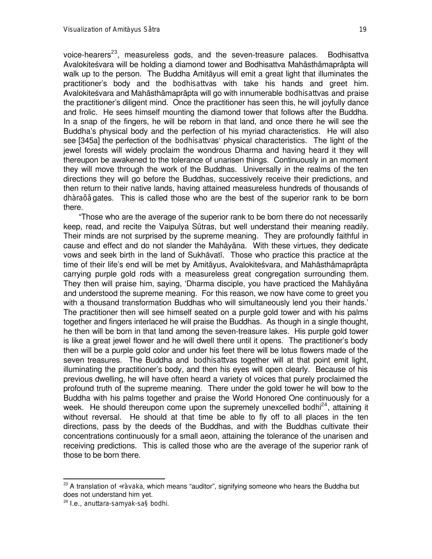voice-hearers<sup>23</sup>, measureless gods, and the seven-treasure palaces. Bodhisattva Avalokiteśvara will be holding a diamond tower and Bodhisattva Mahāsthāmaprāpta will walk up to the person. The Buddha Amitàyus will emit a great light that illuminates the practitioner's body and the *bodhisattva*s with take his hands and greet him. Avalokiteśvara and Mahāsthāmaprāpta will go with innumerable *bodhisattva*s and praise the practitioner's diligent mind. Once the practitioner has seen this, he will joyfully dance and frolic. He sees himself mounting the diamond tower that follows after the Buddha. In a snap of the fingers, he will be reborn in that land, and once there he will see the Buddha's physical body and the perfection of his myriad characteristics. He will also see [345a] the perfection of the *bodhisattva*s` physical characteristics. The light of the jewel forests will widely proclaim the wondrous Dharma and having heard it they will thereupon be awakened to the tolerance of unarisen things. Continuously in an moment they will move through the work of the Buddhas. Universally in the realms of the ten directions they will go before the Buddhas, successively receive their predictions, and then return to their native lands, having attained measureless hundreds of thousands of *dhàraõã* gates. This is called those who are the best of the superior rank to be born there.

ßThose who are the average of the superior rank to be born there do not necessarily keep, read, and recite the Vaipulya Såtras, but well understand their meaning readily. Their minds are not surprised by the supreme meaning. They are profoundly faithful in cause and effect and do not slander the Mahàyàna. With these virtues, they dedicate vows and seek birth in the land of Sukhàvatã. Those who practice this practice at the time of their life's end will be met by Amitāyus, Avalokiteśvara, and Mahāsthāmaprāpta carrying purple gold rods with a measureless great congregation surrounding them. They then will praise him, saying, `Dharma disciple, you have practiced the Mahàyàna and understood the supreme meaning. For this reason, we now have come to greet you with a thousand transformation Buddhas who will simultaneously lend you their hands.' The practitioner then will see himself seated on a purple gold tower and with his palms together and fingers interlaced he will praise the Buddhas. As though in a single thought, he then will be born in that land among the seven-treasure lakes. His purple gold tower is like a great jewel flower and he will dwell there until it opens. The practitioner's body then will be a purple gold color and under his feet there will be lotus flowers made of the seven treasures. The Buddha and *bodhisattva*s together will at that point emit light, illuminating the practitioner's body, and then his eyes will open clearly. Because of his previous dwelling, he will have often heard a variety of voices that purely proclaimed the profound truth of the supreme meaning. There under the gold tower he will bow to the Buddha with his palms together and praise the World Honored One continuously for a week. He should thereupon come upon the supremely unexcelled *bodhi*<sup>24</sup>, attaining it without reversal. He should at that time be able to fly off to all places in the ten directions, pass by the deeds of the Buddhas, and with the Buddhas cultivate their concentrations continuously for a small aeon, attaining the tolerance of the unarisen and receiving predictions. This is called those who are the average of the superior rank of those to be born there.

<sup>&</sup>lt;sup>23</sup> A translation of *÷ràvaka*, which means "auditor", signifying someone who hears the Buddha but does not understand him yet.

<sup>24</sup> I.e., *anuttara-samyak-sa§bodhi*.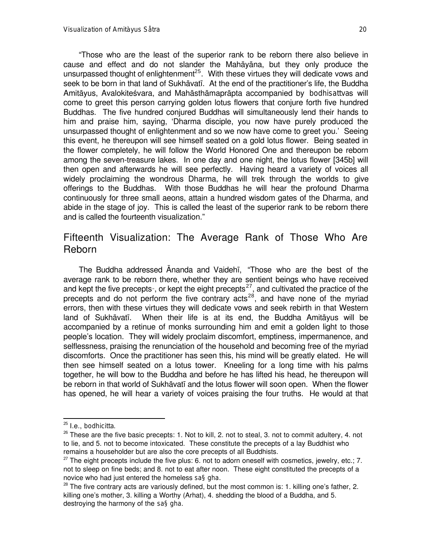ßThose who are the least of the superior rank to be reborn there also believe in cause and effect and do not slander the Mahàyàna, but they only produce the unsurpassed thought of enlightenment<sup>25</sup>. With these virtues they will dedicate vows and seek to be born in that land of Sukhāvatī. At the end of the practitioner's life, the Buddha Amitàyus, Avalokite÷vara, and Mahàsthàmapràpta accompanied by *bodhisattva*s will come to greet this person carrying golden lotus flowers that conjure forth five hundred Buddhas. The five hundred conjured Buddhas will simultaneously lend their hands to him and praise him, saying, `Dharma disciple, you now have purely produced the unsurpassed thought of enlightenment and so we now have come to greet you.' Seeing this event, he thereupon will see himself seated on a gold lotus flower. Being seated in the flower completely, he will follow the World Honored One and thereupon be reborn among the seven-treasure lakes. In one day and one night, the lotus flower [345b] will then open and afterwards he will see perfectly. Having heard a variety of voices all widely proclaiming the wondrous Dharma, he will trek through the worlds to give offerings to the Buddhas. With those Buddhas he will hear the profound Dharma continuously for three small aeons, attain a hundred wisdom gates of the Dharma, and abide in the stage of joy. This is called the least of the superior rank to be reborn there and is called the fourteenth visualization."

## Fifteenth Visualization: The Average Rank of Those Who Are Reborn

The Buddha addressed Ananda and Vaidehi, "Those who are the best of the average rank to be reborn there, whether they are sentient beings who have received and kept the five precepts<sup>\*</sup>, or kept the eight precepts<sup>27</sup>, and cultivated the practice of the precepts and do not perform the five contrary  $acts^{28}$ , and have none of the myriad errors, then with these virtues they will dedicate vows and seek rebirth in that Western land of Sukhāvatī. When their life is at its end, the Buddha Amitāyus will be accompanied by a retinue of monks surrounding him and emit a golden light to those people's location. They will widely proclaim discomfort, emptiness, impermanence, and selflessness, praising the renunciation of the household and becoming free of the myriad discomforts. Once the practitioner has seen this, his mind will be greatly elated. He will then see himself seated on a lotus tower. Kneeling for a long time with his palms together, he will bow to the Buddha and before he has lifted his head, he thereupon will be reborn in that world of Sukhāvatī and the lotus flower will soon open. When the flower has opened, he will hear a variety of voices praising the four truths. He would at that

<sup>25</sup> I.e., *bodhicitta*.

 $26$  These are the five basic precepts: 1. Not to kill, 2. not to steal, 3. not to commit adultery, 4. not to lie, and 5. not to become intoxicated. These constitute the precepts of a lay Buddhist who remains a householder but are also the core precepts of all Buddhists.

<sup>&</sup>lt;sup>27</sup> The eight precepts include the five plus: 6. not to adorn oneself with cosmetics, jewelry, etc.; 7. not to sleep on fine beds; and 8. not to eat after noon. These eight constituted the precepts of a novice who had just entered the homeless *sa§gha*.

 $^{28}$  The five contrary acts are variously defined, but the most common is: 1. killing one's father, 2. killing one's mother, 3. killing a Worthy (Arhat), 4. shedding the blood of a Buddha, and 5. destroying the harmony of the *sa§gha*.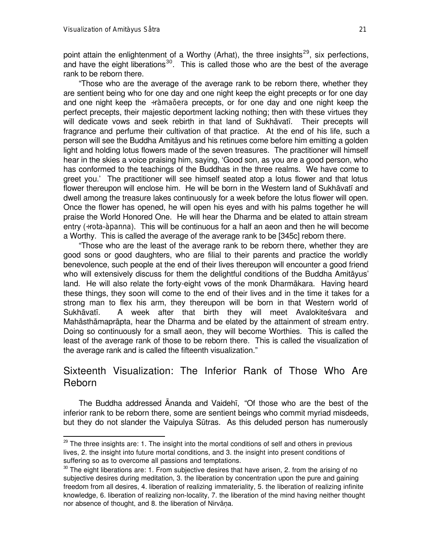l

point attain the enlightenment of a Worthy (Arhat), the three insights<sup>29</sup>, six perfections, and have the eight liberations<sup>30</sup>. This is called those who are the best of the average rank to be reborn there.

ßThose who are the average of the average rank to be reborn there, whether they are sentient being who for one day and one night keep the eight precepts or for one day and one night keep the *÷ràmaõera* precepts, or for one day and one night keep the perfect precepts, their majestic deportment lacking nothing; then with these virtues they will dedicate vows and seek rebirth in that land of Sukhāvatī. Their precepts will fragrance and perfume their cultivation of that practice. At the end of his life, such a person will see the Buddha Amitàyus and his retinues come before him emitting a golden light and holding lotus flowers made of the seven treasures. The practitioner will himself hear in the skies a voice praising him, saying, `Good son, as you are a good person, who has conformed to the teachings of the Buddhas in the three realms. We have come to greet you.' The practitioner will see himself seated atop a lotus flower and that lotus flower thereupon will enclose him. He will be born in the Western land of Sukhāvatī and dwell among the treasure lakes continuously for a week before the lotus flower will open. Once the flower has opened, he will open his eyes and with his palms together he will praise the World Honored One. He will hear the Dharma and be elated to attain stream entry (*÷rota-àpanna*). This will be continuous for a half an aeon and then he will become a Worthy. This is called the average of the average rank to be [345c] reborn there.

Those who are the least of the average rank to be reborn there, whether they are good sons or good daughters, who are filial to their parents and practice the worldly benevolence, such people at the end of their lives thereupon will encounter a good friend who will extensively discuss for them the delightful conditions of the Buddha Amitàyus' land. He will also relate the forty-eight vows of the monk Dharmàkara. Having heard these things, they soon will come to the end of their lives and in the time it takes for a strong man to flex his arm, they thereupon will be born in that Western world of Sukhāvatī. A week after that birth they will meet Avalokiteśvara and Mahàsthàmapràpta, hear the Dharma and be elated by the attainment of stream entry. Doing so continuously for a small aeon, they will become Worthies. This is called the least of the average rank of those to be reborn there. This is called the visualization of the average rank and is called the fifteenth visualization."

## Sixteenth Visualization: The Inferior Rank of Those Who Are Reborn

The Buddha addressed Ananda and Vaidehi, "Of those who are the best of the inferior rank to be reborn there, some are sentient beings who commit myriad misdeeds, but they do not slander the Vaipulya Sūtras. As this deluded person has numerously

 $^{29}$  The three insights are: 1. The insight into the mortal conditions of self and others in previous lives, 2. the insight into future mortal conditions, and 3. the insight into present conditions of suffering so as to overcome all passions and temptations.

 $30$  The eight liberations are: 1. From subjective desires that have arisen, 2. from the arising of no subjective desires during meditation, 3. the liberation by concentration upon the pure and gaining freedom from all desires, 4. liberation of realizing immateriality, 5. the liberation of realizing infinite knowledge, 6. liberation of realizing non-locality, 7. the liberation of the mind having neither thought nor absence of thought, and 8. the liberation of Nirvāṇa.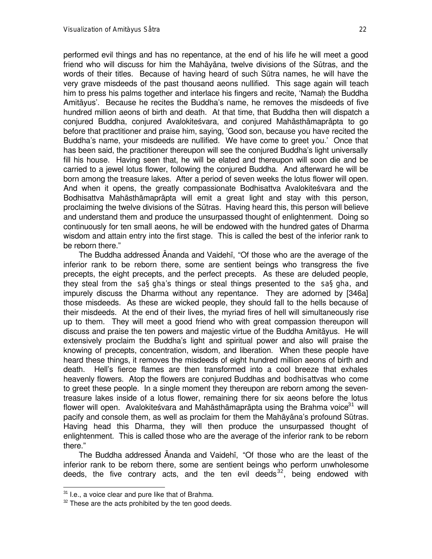performed evil things and has no repentance, at the end of his life he will meet a good friend who will discuss for him the Mahàyàna, twelve divisions of the Såtras, and the words of their titles. Because of having heard of such Såtra names, he will have the very grave misdeeds of the past thousand aeons nullified. This sage again will teach him to press his palms together and interlace his fingers and recite, 'Namah the Buddha Amitàyus'. Because he recites the Buddha's name, he removes the misdeeds of five hundred million aeons of birth and death. At that time, that Buddha then will dispatch a conjured Buddha, conjured Avalokiteśvara, and conjured Mahāsthāmaprāpta to go before that practitioner and praise him, saying, 'Good son, because you have recited the Buddha's name, your misdeeds are nullified. We have come to greet you.' Once that has been said, the practitioner thereupon will see the conjured Buddha's light universally fill his house. Having seen that, he will be elated and thereupon will soon die and be carried to a jewel lotus flower, following the conjured Buddha. And afterward he will be born among the treasure lakes. After a period of seven weeks the lotus flower will open. And when it opens, the greatly compassionate Bodhisattva Avalokite svara and the Bodhisattva Mahàsthàmapràpta will emit a great light and stay with this person, proclaiming the twelve divisions of the Såtras. Having heard this, this person will believe and understand them and produce the unsurpassed thought of enlightenment. Doing so continuously for ten small aeons, he will be endowed with the hundred gates of Dharma wisdom and attain entry into the first stage. This is called the best of the inferior rank to be reborn there."

The Buddha addressed Ananda and Vaidehi, "Of those who are the average of the inferior rank to be reborn there, some are sentient beings who transgress the five precepts, the eight precepts, and the perfect precepts. As these are deluded people, they steal from the *sa§gha*'s things or steal things presented to the *sa§gha*, and impurely discuss the Dharma without any repentance. They are adorned by [346a] those misdeeds. As these are wicked people, they should fall to the hells because of their misdeeds. At the end of their lives, the myriad fires of hell will simultaneously rise up to them. They will meet a good friend who with great compassion thereupon will discuss and praise the ten powers and majestic virtue of the Buddha Amitàyus. He will extensively proclaim the Buddha's light and spiritual power and also will praise the knowing of precepts, concentration, wisdom, and liberation. When these people have heard these things, it removes the misdeeds of eight hundred million aeons of birth and death. Hell's fierce flames are then transformed into a cool breeze that exhales heavenly flowers. Atop the flowers are conjured Buddhas and *bodhisattva*s who come to greet these people. In a single moment they thereupon are reborn among the seventreasure lakes inside of a lotus flower, remaining there for six aeons before the lotus flower will open. Avalokiteśvara and Mahāsthāmaprāpta using the Brahma voice<sup>31</sup> will pacify and console them, as well as proclaim for them the Mahàyàna's profound Såtras. Having head this Dharma, they will then produce the unsurpassed thought of enlightenment. This is called those who are the average of the inferior rank to be reborn there."

The Buddha addressed Ananda and Vaidehī, "Of those who are the least of the inferior rank to be reborn there, some are sentient beings who perform unwholesome deeds, the five contrary acts, and the ten evil deeds<sup>32</sup>, being endowed with

 $31$  I.e., a voice clear and pure like that of Brahma.

 $32$  These are the acts prohibited by the ten good deeds.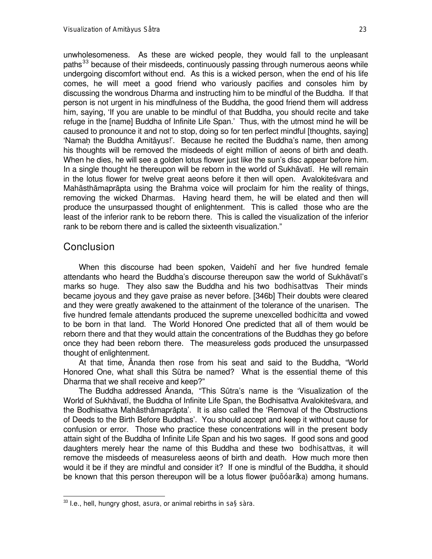unwholesomeness. As these are wicked people, they would fall to the unpleasant paths<sup>33</sup> because of their misdeeds, continuously passing through numerous aeons while undergoing discomfort without end. As this is a wicked person, when the end of his life comes, he will meet a good friend who variously pacifies and consoles him by discussing the wondrous Dharma and instructing him to be mindful of the Buddha. If that person is not urgent in his mindfulness of the Buddha, the good friend them will address him, saying, 'If you are unable to be mindful of that Buddha, you should recite and take refuge in the [name] Buddha of Infinite Life Span.' Thus, with the utmost mind he will be caused to pronounce it and not to stop, doing so for ten perfect mindful [thoughts, saying] `Namaþ the Buddha Amitàyus!'. Because he recited the Buddha's name, then among his thoughts will be removed the misdeeds of eight million of aeons of birth and death. When he dies, he will see a golden lotus flower just like the sun's disc appear before him. In a single thought he thereupon will be reborn in the world of Sukhāvatī. He will remain in the lotus flower for twelve great aeons before it then will open. Avalokiteśvara and Mahàsthàmapràpta using the Brahma voice will proclaim for him the reality of things, removing the wicked Dharmas. Having heard them, he will be elated and then will produce the unsurpassed thought of enlightenment. This is called those who are the least of the inferior rank to be reborn there. This is called the visualization of the inferior rank to be reborn there and is called the sixteenth visualization."

#### **Conclusion**

l

When this discourse had been spoken, Vaidehã and her five hundred female attendants who heard the Buddha's discourse thereupon saw the world of Sukhāvatī's marks so huge. They also saw the Buddha and his two *bodhisattva*s Their minds became joyous and they gave praise as never before. [346b] Their doubts were cleared and they were greatly awakened to the attainment of the tolerance of the unarisen. The five hundred female attendants produced the supreme unexcelled *bodhicitta* and vowed to be born in that land. The World Honored One predicted that all of them would be reborn there and that they would attain the concentrations of the Buddhas they go before once they had been reborn there. The measureless gods produced the unsurpassed thought of enlightenment.

At that time, Ananda then rose from his seat and said to the Buddha, "World Honored One, what shall this Såtra be named? What is the essential theme of this Dharma that we shall receive and keep?"

The Buddha addressed Ananda, "This Sūtra's name is the 'Visualization of the World of Sukhāvatī, the Buddha of Infinite Life Span, the Bodhisattva Avalokiteśvara, and the Bodhisattva Mahàsthàmapràpta'. It is also called the `Removal of the Obstructions of Deeds to the Birth Before Buddhas'. You should accept and keep it without cause for confusion or error. Those who practice these concentrations will in the present body attain sight of the Buddha of Infinite Life Span and his two sages. If good sons and good daughters merely hear the name of this Buddha and these two *bodhisattva*s, it will remove the misdeeds of measureless aeons of birth and death. How much more then would it be if they are mindful and consider it? If one is mindful of the Buddha, it should be known that this person thereupon will be a lotus flower (*puõóarãka*) among humans.

<sup>33</sup> I.e., hell, hungry ghost, *asura*, or animal rebirths in *sa§sàra*.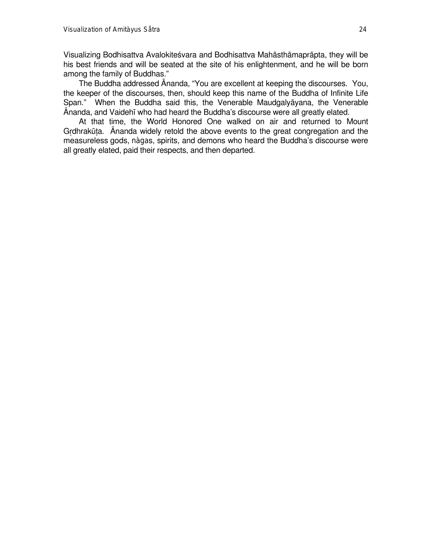Visualizing Bodhisattva Avalokiteśvara and Bodhisattva Mahāsthāmaprāpta, they will be his best friends and will be seated at the site of his enlightenment, and he will be born among the family of Buddhas."

The Buddha addressed Ananda, "You are excellent at keeping the discourses. You, the keeper of the discourses, then, should keep this name of the Buddha of Infinite Life Span." When the Buddha said this, the Venerable Maudgalyāyana, the Venerable ânanda, and Vaidehã who had heard the Buddha's discourse were all greatly elated.

At that time, the World Honored One walked on air and returned to Mount Grdhrakūta. Ananda widely retold the above events to the great congregation and the measureless gods, *nàga*s, spirits, and demons who heard the Buddha's discourse were all greatly elated, paid their respects, and then departed.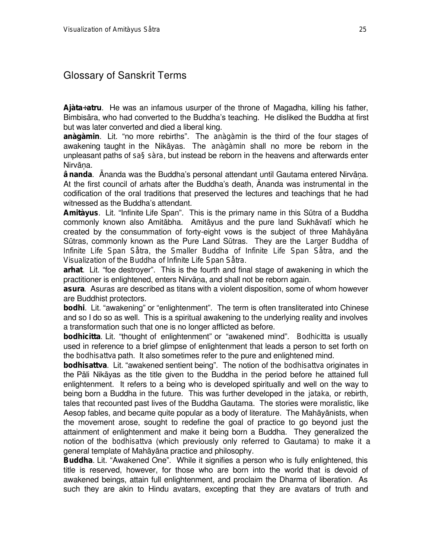# Glossary of Sanskrit Terms

**Ajàta÷atru**. He was an infamous usurper of the throne of Magadha, killing his father, Bimbisàra, who had converted to the Buddha's teaching. He disliked the Buddha at first but was later converted and died a liberal king.

anàgàmin. Lit. "no more rebirths". The *anàgàmin* is the third of the four stages of awakening taught in the Nikàyas. The *anàgàmin* shall no more be reborn in the unpleasant paths of *sa§sàra*, but instead be reborn in the heavens and afterwards enter Nirvāna.

**ânanda**. Ananda was the Buddha's personal attendant until Gautama entered Nirvāna. At the first council of arhats after the Buddha's death, ânanda was instrumental in the codification of the oral traditions that preserved the lectures and teachings that he had witnessed as the Buddha's attendant.

**Amitàyus**. Lit. "Infinite Life Span". This is the primary name in this Sūtra of a Buddha commonly known also Amitàbha. Amitàyus and the pure land Sukhàvatã which he created by the consummation of forty-eight vows is the subject of three Mahàyàna Såtras, commonly known as the Pure Land Såtras. They are the *Larger Buddha of Infinite Life Span Såtra*, the *Smaller Buddha of Infinite Life Span Såtra*, and the *Visualization of the Buddha of Infinite Life Span Såtra*.

**arhat**. Lit. "foe destroyer". This is the fourth and final stage of awakening in which the practitioner is enlightened, enters Nirvāna, and shall not be reborn again.

**asura**. Asuras are described as titans with a violent disposition, some of whom however are Buddhist protectors.

**bodhi**. Lit. "awakening" or "enlightenment". The term is often transliterated into Chinese and so I do so as well. This is a spiritual awakening to the underlying reality and involves a transformation such that one is no longer afflicted as before.

**bodhicitta**. Lit. "thought of enlightenment" or "awakened mind". *Bodhicitta* is usually used in reference to a brief glimpse of enlightenment that leads a person to set forth on the *bodhisattva* path. It also sometimes refer to the pure and enlightened mind.

**bodhisattva**. Lit. "awakened sentient being". The notion of the *bodhisattva* originates in the Pàli Nikàyas as the title given to the Buddha in the period before he attained full enlightenment. It refers to a being who is developed spiritually and well on the way to being born a Buddha in the future. This was further developed in the *jataka*, or rebirth, tales that recounted past lives of the Buddha Gautama. The stories were moralistic, like Aesop fables, and became quite popular as a body of literature. The Mahàyànists, when the movement arose, sought to redefine the goal of practice to go beyond just the attainment of enlightenment and make it being born a Buddha. They generalized the notion of the *bodhisattva* (which previously only referred to Gautama) to make it a general template of Mahàyàna practice and philosophy.

Buddha. Lit. "Awakened One". While it signifies a person who is fully enlightened, this title is reserved, however, for those who are born into the world that is devoid of awakened beings, attain full enlightenment, and proclaim the Dharma of liberation. As such they are akin to Hindu avatars, excepting that they are avatars of truth and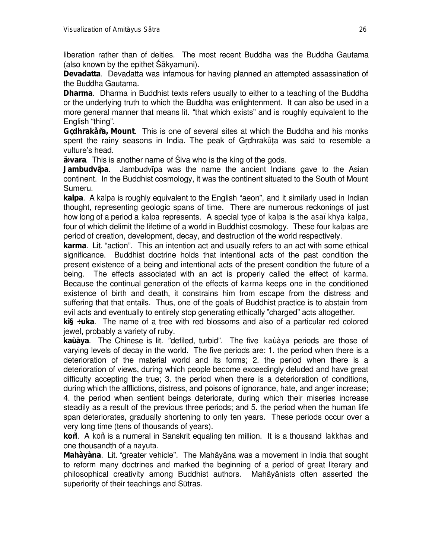liberation rather than of deities. The most recent Buddha was the Buddha Gautama (also known by the epithet Śākyamuni).

**Devadatta**. Devadatta was infamous for having planned an attempted assassination of the Buddha Gautama.

**Dharma**. Dharma in Buddhist texts refers usually to either to a teaching of the Buddha or the underlying truth to which the Buddha was enlightenment. It can also be used in a more general manner that means lit. "that which exists" and is roughly equivalent to the English "thing".

**Gçdhrakåña, Mount**. This is one of several sites at which the Buddha and his monks spent the rainy seasons in India. The peak of Grdhrakūta was said to resemble a vulture's head.

**ä÷vara**. This is another name of øiva who is the king of the gods.

**Jambudvãpa**. Jambudvãpa was the name the ancient Indians gave to the Asian continent. In the Buddhist cosmology, it was the continent situated to the South of Mount Sumeru.

**kalpa**. A *kalpa* is roughly equivalent to the English "aeon", and it similarly used in Indian thought, representing geologic spans of time. There are numerous reckonings of just how long of a period a *kalpa* represents. A special type of *kalpa* is the *asaïkhya kalpa*, four of which delimit the lifetime of a world in Buddhist cosmology. These four *kalpa*s are period of creation, development, decay, and destruction of the world respectively.

**karma**. Lit. "action". This an intention act and usually refers to an act with some ethical significance. Buddhist doctrine holds that intentional acts of the past condition the present existence of a being and intentional acts of the present condition the future of a being. The effects associated with an act is properly called the effect of *karma*. Because the continual generation of the effects of *karma* keeps one in the conditioned existence of birth and death, it constrains him from escape from the distress and suffering that that entails. Thus, one of the goals of Buddhist practice is to abstain from evil acts and eventually to entirely stop generating ethically "charged" acts altogether.

**ki§÷uka**. The name of a tree with red blossoms and also of a particular red colored jewel, probably a variety of ruby.

**kaùàya**. The Chinese is lit. "defiled, turbid". The five *kaùàya* periods are those of varying levels of decay in the world. The five periods are: 1. the period when there is a deterioration of the material world and its forms; 2. the period when there is a deterioration of views, during which people become exceedingly deluded and have great difficulty accepting the true; 3. the period when there is a deterioration of conditions, during which the afflictions, distress, and poisons of ignorance, hate, and anger increase; 4. the period when sentient beings deteriorate, during which their miseries increase steadily as a result of the previous three periods; and 5. the period when the human life span deteriorates, gradually shortening to only ten years. These periods occur over a very long time (tens of thousands of years).

**koñi**. A *koñi* is a numeral in Sanskrit equaling ten million. It is a thousand *lakkha*s and one thousandth of a *nayuta*.

**Mahàyàna**. Lit. "greater vehicle". The Mahāyāna was a movement in India that sought to reform many doctrines and marked the beginning of a period of great literary and philosophical creativity among Buddhist authors. Mahàyànists often asserted the superiority of their teachings and Sūtras.